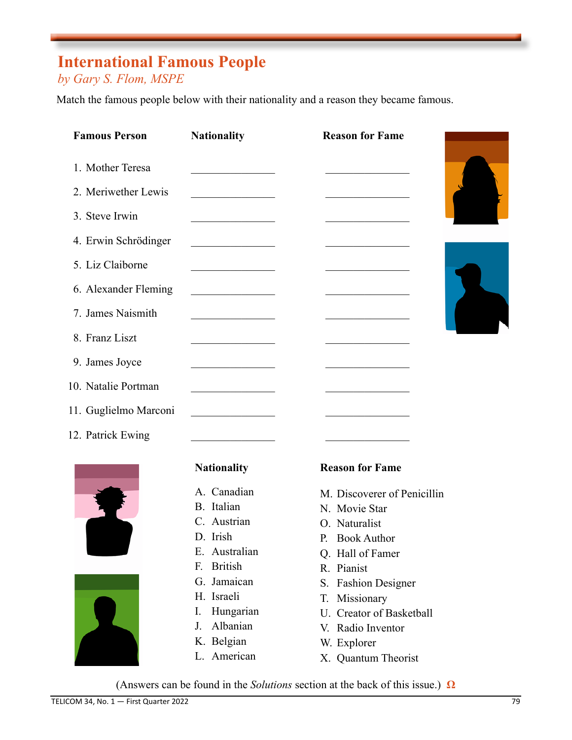## **International Famous People**

## *by Gary S. Flom, MSPE*

Match the famous people below with their nationality and a reason they became famous.

| <b>Famous Person</b> | <b>Nationality</b>                           |                                                                                    |                                               |                        |
|----------------------|----------------------------------------------|------------------------------------------------------------------------------------|-----------------------------------------------|------------------------|
| 1. Mother Teresa     | the control of the control of the            |                                                                                    |                                               |                        |
| 2. Meriwether Lewis  |                                              |                                                                                    |                                               |                        |
| 3. Steve Irwin       | <u> 1990 - Johann Barbara, martin a</u>      |                                                                                    |                                               |                        |
| 4. Erwin Schrödinger | <u> 1980 - Johann Barbara, martin a</u>      |                                                                                    |                                               |                        |
| 5. Liz Claiborne     |                                              |                                                                                    |                                               |                        |
| 6. Alexander Fleming | <u> 1990 - Johann Barbara, martin a</u>      |                                                                                    |                                               |                        |
| 7. James Naismith    | <u> 1990 - Johann Barbara, martin a</u>      |                                                                                    | <u> 1990 - Johann Barbara, martxa alemani</u> |                        |
| 8. Franz Liszt       | the control of the control of the control of |                                                                                    |                                               |                        |
|                      |                                              |                                                                                    |                                               |                        |
| 10. Natalie Portman  |                                              |                                                                                    |                                               |                        |
|                      |                                              |                                                                                    |                                               |                        |
| 12. Patrick Ewing    |                                              |                                                                                    |                                               |                        |
|                      | 9. James Joyce<br>11. Guglielmo Marconi      | <u> 1990 - Johann Barbara, martin a</u><br><u> 1980 - Johann Barbara, martin a</u> |                                               | <b>Reason for Fame</b> |





#### **Nationality**

- A. Canadian
- B. Italian
- C. Austrian
- D. Irish
- E. Australian
- F. British
- G. Jamaican
- H. Israeli
- I. Hungarian
- J. Albanian
- K. Belgian
- L. American

### **Reason for Fame**

- M. Discoverer of Penicillin
- N. Movie Star
- O. Naturalist
- P. Book Author
- Q. Hall of Famer
- R. Pianist
- S. Fashion Designer
- T. Missionary
- U. Creator of Basketball
- V. Radio Inventor
- W. Explorer
- X. Quantum Theorist

(Answers can be found in the *Solutions* section at the back of this issue.) **Ω**

 $\mathbf{r}$